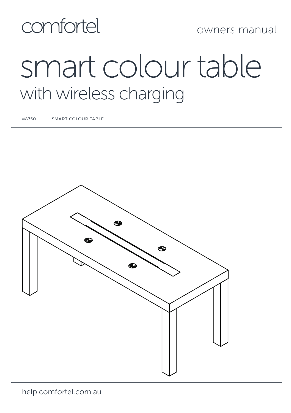## comfortel

# smart colour table with wireless charging

#8750 SMART COLOUR TABLE

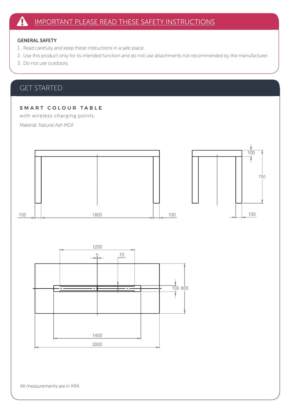#### GENERAL SAFETY

- 1. Read carefully and keep these instructions in a safe place.
- 2. Use this product only for its intended function and do not use attachments not recommended by the manufacturer.
- 3. Do not use outdoors.

## GET STARTED

#### SMART COLOUR TABLE

with wireless charging points

Material: Natural Ash MDF

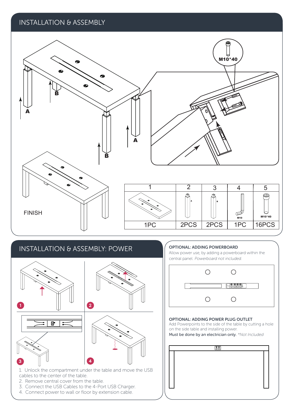### INSTALLATION & ASSEMBLY